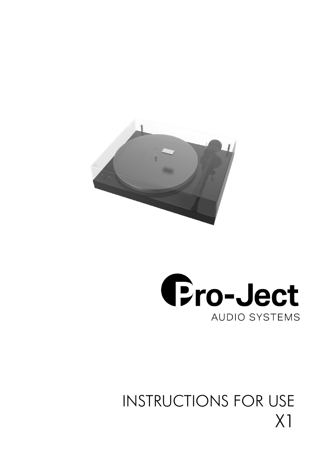



# INSTRUCTIONS FOR USE X1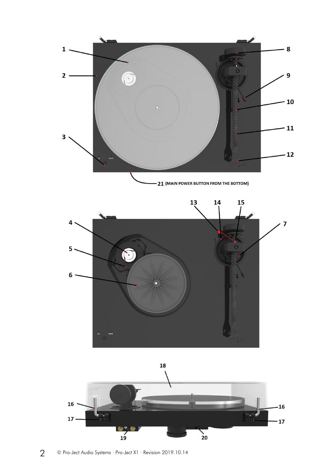



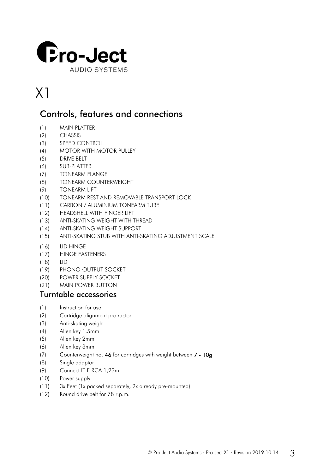

## X1

## Controls, features and connections

- (1) MAIN PLATTER
- (2) CHASSIS
- (3) SPEED CONTROL
- (4) MOTOR WITH MOTOR PULLEY
- (5) DRIVE BELT
- (6) SUB-PLATTER
- (7) TONEARM FLANGE
- (8) TONEARM COUNTERWEIGHT
- (9) TONEARM LIFT
- (10) TONEARM REST AND REMOVABLE TRANSPORT LOCK
- (11) CARBON / ALUMINIUM TONEARM TUBE
- (12) HEADSHELL WITH FINGER LIFT
- (13) ANTI-SKATING WEIGHT WITH THREAD
- (14) ANTI-SKATING WEIGHT SUPPORT
- (15) ANTI-SKATING STUB WITH ANTI-SKATING ADJUSTMENT SCALE
- (16) LID HINGE
- (17) HINGE FASTENERS
- (18) LID
- (19) PHONO OUTPUT SOCKET
- (20) POWER SUPPLY SOCKET
- (21) MAIN POWER BUTTON

## Turntable accessories

- (1) Instruction for use
- (2) Cartridge alignment protractor
- (3) Anti-skating weight
- (4) Allen key 1.5mm
- (5) Allen key 2mm
- (6) Allen key 3mm
- (7) Counterweight no. 46 for cartridges with weight between 7 10g
- (8) Single adaptor
- (9) Connect IT E RCA 1,23m
- (10) Power supply
- (11) 3x Feet (1x packed separately, 2x already pre-mounted)
- (12) Round drive belt for 78 r.p.m.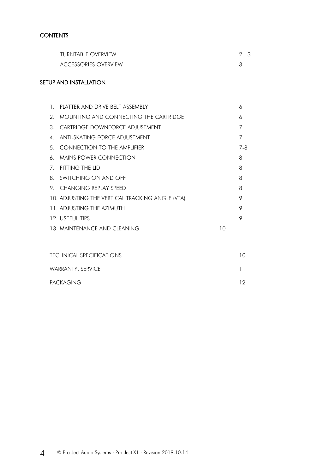#### **CONTENTS**

| TURNTABLE OVERVIEW          | 2.3 |
|-----------------------------|-----|
| <b>ACCESSORIES OVERVIEW</b> |     |

#### SETUP AND INSTALLATION

| $1_{\ldots}$   | PLATTER AND DRIVE BELT ASSEMBLY                 |    | 6   |
|----------------|-------------------------------------------------|----|-----|
|                | 2. MOUNTING AND CONNECTING THE CARTRIDGE        |    | 6   |
| 3              | CARTRIDGE DOWNFORCE ADJUSTMENT                  |    |     |
| 4 <sup>1</sup> | ANTI-SKATING FORCE ADJUSTMENT                   |    | 7   |
|                | 5 CONNECTION TO THE AMPLIFIER                   |    | 7-8 |
| 6              | <b>MAINS POWER CONNECTION</b>                   |    | 8   |
| 7.             | FITTING THE LID                                 |    | 8   |
|                | 8. SWITCHING ON AND OFF                         |    | 8   |
|                | 9. CHANGING REPLAY SPEED                        |    | 8   |
|                | 10. ADJUSTING THE VERTICAL TRACKING ANGLE (VTA) |    | 9   |
|                | 11 ADJUSTING THE AZIMUTH                        |    | 9   |
|                | 12. USEFUL TIPS                                 |    | 9   |
|                | 13 MAINTENANCE AND CLEANING                     | 10 |     |
|                |                                                 |    |     |

| <b>TECHNICAL SPECIFICATIONS</b> | 1 O |
|---------------------------------|-----|
| <b>WARRANTY, SERVICE</b>        |     |
| <b>PACKAGING</b>                | 12  |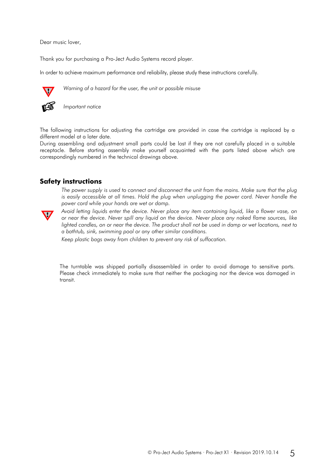Dear music lover,

Thank you for purchasing a Pro-Ject Audio Systems record player.

In order to achieve maximum performance and reliability, please study these instructions carefully.



*Warning of a hazard for the user, the unit or possible misuse*



The following instructions for adjusting the cartridge are provided in case the cartridge is replaced by a different model at a later date.

During assembling and adjustment small parts could be lost if they are not carefully placed in a suitable receptacle. Before starting assembly make yourself acquainted with the parts listed above which are correspondingly numbered in the technical drawings above.

#### **Safety instructions**

*The power supply is used to connect and disconnect the unit from the mains. Make sure that the plug*  is easily accessible at all times. Hold the plug when unplugging the power cord. Never handle the *power cord while your hands are wet or damp.*



*Avoid letting liquids enter the device. Never place any item containing liquid, like a flower vase, on or near the device. Never spill any liquid on the device. Never place any naked flame sources, like lighted candles, on or near the device. The product shall not be used in damp or wet locations, next to a bathtub, sink, swimming pool or any other similar conditions.*

*Keep plastic bags away from children to prevent any risk of suffocation.*

The turntable was shipped partially disassembled in order to avoid damage to sensitive parts. Please check immediately to make sure that neither the packaging nor the device was damaged in transit.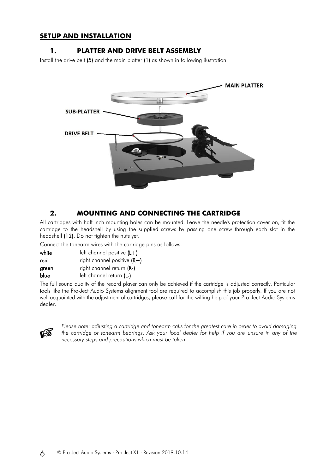#### **SETUP AND INSTALLATION**

#### **1. PLATTER AND DRIVE BELT ASSEMBLY**

Install the drive belt (5) and the main platter (1) as shown in following ilustration.



### **2. MOUNTING AND CONNECTING THE CARTRIDGE**

All cartridges with half inch mounting holes can be mounted. Leave the needle's protection cover on, fit the cartridge to the headshell by using the supplied screws by passing one screw through each slot in the headshell (12). Do not tighten the nuts yet.

Connect the tonearm wires with the cartridge pins as follows:

| white | left channel positive $(L+)$  |
|-------|-------------------------------|
| red   | right channel positive $(R+)$ |
| green | right channel return (R-)     |
| blue  | left channel return (L-)      |
|       |                               |

The full sound quality of the record player can only be achieved if the cartridge is adjusted correctly. Particular tools like the Pro-Ject Audio Systems alignment tool are required to accomplish this job properly. If you are not well acquainted with the adjustment of cartridges, please call for the willing help of your Pro-Ject Audio Systems dealer.



*Please note: adjusting a cartridge and tonearm calls for the greatest care in order to avoid damaging the cartridge or tonearm bearings. Ask your local dealer for help if you are unsure in any of the necessary steps and precautions which must be taken.*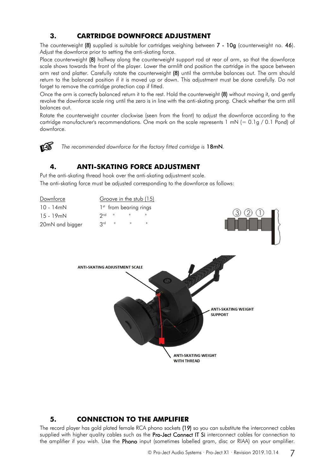## **3. CARTRIDGE DOWNFORCE ADJUSTMENT**

The counterweight (8) supplied is suitable for cartridges weighing between 7 - 10g (counterweight no. 46). Adjust the downforce prior to setting the anti-skating force.

Place counterweight (8) halfway along the counterweight support rod at rear of arm, so that the downforce scale shows towards the front of the player. Lower the armlift and position the cartridge in the space between arm rest and platter. Carefully rotate the counterweight (8) until the armtube balances out. The arm should return to the balanced position if it is moved up or down. This adjustment must be done carefully. Do not forget to remove the cartridge protection cap if fitted.

Once the arm is correctly balanced return it to the rest. Hold the counterweight (8) without moving it, and gently revolve the downforce scale ring until the zero is in line with the anti-skating prong. Check whether the arm still balances out.

Rotate the counterweight counter clockwise (seen from the front) to adjust the downforce according to the cartridge manufacturer's recommendations. One mark on the scale represents 1 mN (= 0.1g / 0.1 Pond) of downforce.



*The recommended downforce for the factory fitted cartridge is* 18mN*.*

### **4. ANTI-SKATING FORCE ADJUSTMENT**

Put the anti-skating thread hook over the anti-skating adjustment scale. The anti-skating force must be adjusted corresponding to the downforce as follows:



#### **5. CONNECTION TO THE AMPLIFIER**

The record player has gold plated female RCA phono sockets (19) so you can substitute the interconnect cables supplied with higher quality cables such as the Pro-Ject Connect IT Si interconnect cables for connection to the amplifier if you wish. Use the Phono input (sometimes labelled gram, disc or RIAA) on your amplifier.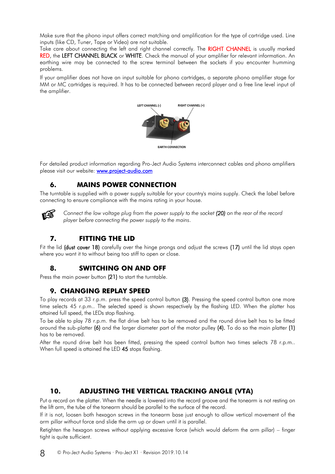Make sure that the phono input offers correct matching and amplification for the type of cartridge used. Line inputs (like CD, Tuner, Tape or Video) are not suitable.

Take care about connecting the left and right channel correctly. The RIGHT CHANNEL is usually marked RED, the LEFT CHANNEL BLACK or WHITE. Check the manual of your amplifier for relevant information. An earthing wire may be connected to the screw terminal between the sockets if you encounter humming problems.

If your amplifier does not have an input suitable for phono cartridges, a separate phono amplifier stage for MM or MC cartridges is required. It has to be connected between record player and a free line level input of the amplifier.



For detailed product information regarding Pro-Ject Audio Systems interconnect cables and phono amplifiers please visit our website: [www.project-audio.com](http://www.project-audio.com/)

## **6. MAINS POWER CONNECTION**

The turntable is supplied with a power supply suitable for your country's mains supply. Check the label before connecting to ensure compliance with the mains rating in your house.



*Connect the low voltage plug from the power supply to the socket (20) on the rear of the record player before connecting the power supply to the mains*.

## **7. FITTING THE LID**

Fit the lid (dust cover 18) carefully over the hinge prongs and adjust the screws (17) until the lid stays open where you want it to without being too stiff to open or close.

#### **8. SWITCHING ON AND OFF**

Press the main power button (21) to start the turntable.

#### **9. CHANGING REPLAY SPEED**

To play records at 33 r.p.m. press the speed control button (3). Pressing the speed control button one more time selects 45 r.p.m.. The selected speed is shown respectively by the flashing LED. When the platter has attained full speed, the LEDs stop flashing.

To be able to play 78 r.p.m. the flat drive belt has to be removed and the round drive belt has to be fitted around the sub-platter (6) and the larger diameter part of the motor pulley (4). To do so the main platter (1) has to be removed.

After the round drive belt has been fitted, pressing the speed control button two times selects 78 r.p.m.. When full speed is attained the LED 45 stops flashing.

#### **10. ADJUSTING THE VERTICAL TRACKING ANGLE (VTA)**

Put a record on the platter. When the needle is lowered into the record groove and the tonearm is not resting on the lift arm, the tube of the tonearm should be parallel to the surface of the record.

If it is not, loosen both hexagon screws in the tonearm base just enough to allow vertical movement of the arm pillar without force and slide the arm up or down until it is parallel.

Retighten the hexagon screws without applying excessive force (which would deform the arm pillar) – finger tight is quite sufficient.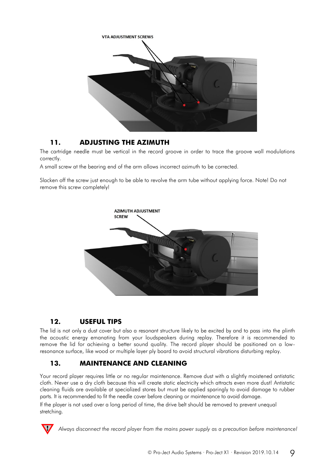

### **11. ADJUSTING THE AZIMUTH**

The cartridge needle must be vertical in the record groove in order to trace the groove wall modulations correctly.

A small screw at the bearing end of the arm allows incorrect azimuth to be corrected.

Slacken off the screw just enough to be able to revolve the arm tube without applying force. Note! Do not remove this screw completely!



## **12. USEFUL TIPS**

The lid is not only a dust cover but also a resonant structure likely to be excited by and to pass into the plinth the acoustic energy emanating from your loudspeakers during replay. Therefore it is recommended to remove the lid for achieving a better sound quality. The record player should be positioned on a lowresonance surface, like wood or multiple layer ply board to avoid structural vibrations disturbing replay.

## **13. MAINTENANCE AND CLEANING**

Your record player requires little or no regular maintenance. Remove dust with a slightly moistened antistatic cloth. Never use a dry cloth because this will create static electricity which attracts even more dust! Antistatic cleaning fluids are available at specialized stores but must be applied sparingly to avoid damage to rubber parts. It is recommended to fit the needle cover before cleaning or maintenance to avoid damage. If the player is not used over a long period of time, the drive belt should be removed to prevent unequal stretching.



*Always disconnect the record player from the mains power supply as a precaution before maintenance!*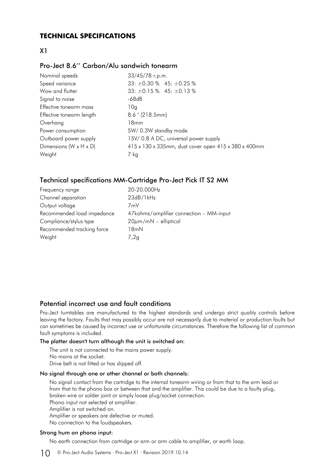#### **TECHNICAL SPECIFICATIONS**

#### X1

#### Pro-Ject 8.6'' Carbon/Alu sandwich tonearm

| Nominal speeds                       | 33/45/78 r.p.m.                                      |
|--------------------------------------|------------------------------------------------------|
| Speed variance                       | $33: \pm 0.30\%$ 45: $\pm 0.25\%$                    |
| Wow and flutter                      | $33: \pm 0.15\%$ 45: $\pm 0.13\%$                    |
| Signal to noise                      | -68dB                                                |
| Effective tonearm mass               | 10g                                                  |
| Effective tonearm length             | $8.6$ " (218.5mm)                                    |
| Overhang                             | 18mm                                                 |
| Power consumption                    | 5W/0.3W standby mode                                 |
| Outboard power supply                | 15V/0.8 A DC, universal power supply                 |
| Dimensions ( $W \times H \times D$ ) | 415 x 130 x 335mm, dust cover open 415 x 380 x 400mm |
| Weight                               | 7 kg                                                 |

#### Technical specifications MM-Cartridge Pro-Ject Pick IT S2 MM

| 20-20.000Hz                             |
|-----------------------------------------|
| 23dB/1kHz                               |
| 7mV                                     |
| 47kohms/amplifier connection - MM-input |
| $20\mu m/mN$ – elliptical               |
| 18mN                                    |
| 7,2g                                    |
|                                         |

#### Potential incorrect use and fault conditions

Pro-Ject turntables are manufactured to the highest standards and undergo strict quality controls before leaving the factory. Faults that may possibly occur are not necessarily due to material or production faults but can sometimes be caused by incorrect use or unfortunate circumstances. Therefore the following list of common fault symptoms is included.

#### The platter doesn't turn although the unit is switched on:

The unit is not connected to the mains power supply. No mains at the socket. Drive belt is not fitted or has slipped off.

#### No signal through one or other channel or both channels:

No signal contact from the cartridge to the internal tonearm wiring or from that to the arm lead or from that to the phono box or between that and the amplifier. This could be due to a faulty plug, broken wire or solder joint or simply loose plug/socket connection. Phono input not selected at amplifier. Amplifier is not switched on. Amplifier or speakers are defective or muted. No connection to the loudspeakers.

#### Strong hum on phono input:

No earth connection from cartridge or arm or arm cable to amplifier, or earth loop.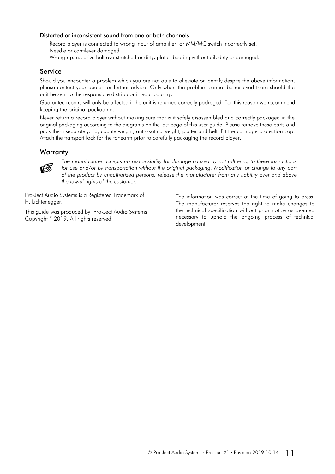#### Distorted or inconsistent sound from one or both channels:

Record player is connected to wrong input of amplifier, or MM/MC switch incorrectly set. Needle or cantilever damaged.

Wrong r.p.m., drive belt overstretched or dirty, platter bearing without oil, dirty or damaged.

#### **Service**

Should you encounter a problem which you are not able to alleviate or identify despite the above information, please contact your dealer for further advice. Only when the problem cannot be resolved there should the unit be sent to the responsible distributor in your country.

Guarantee repairs will only be affected if the unit is returned correctly packaged. For this reason we recommend keeping the original packaging.

Never return a record player without making sure that is it safely disassembled and correctly packaged in the original packaging according to the diagrams on the last page of this user guide. Please remove these parts and pack them separately: lid, counterweight, anti-skating weight, platter and belt. Fit the cartridge protection cap. Attach the transport lock for the tonearm prior to carefully packaging the record player.

#### **Warranty**



*The manufacturer accepts no responsibility for damage caused by not adhering to these instructions for use and/or by transportation without the original packaging. Modification or change to any part of the product by unauthorized persons, release the manufacturer from any liability over and above the lawful rights of the customer.*

Pro-Ject Audio Systems is a Registered Trademark of H. Lichtenegger.

This guide was produced by: Pro-Ject Audio Systems Copyright © 2019. All rights reserved.

The information was correct at the time of going to press. The manufacturer reserves the right to make changes to the technical specification without prior notice as deemed necessary to uphold the ongoing process of technical development.